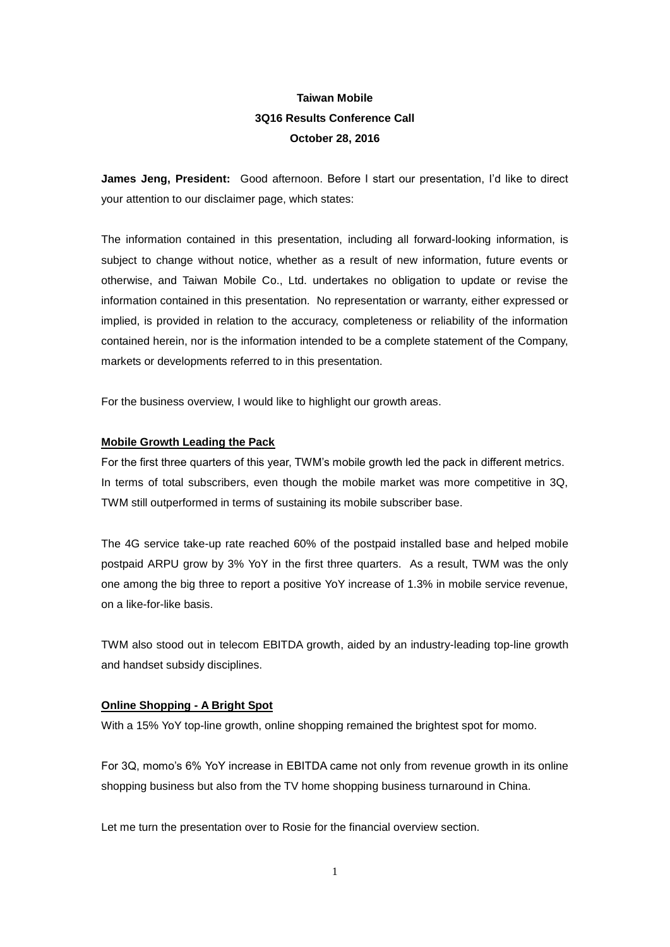## **Taiwan Mobile 3Q16 Results Conference Call October 28, 2016**

**James Jeng, President:** Good afternoon. Before I start our presentation, I'd like to direct your attention to our disclaimer page, which states:

The information contained in this presentation, including all forward-looking information, is subject to change without notice, whether as a result of new information, future events or otherwise, and Taiwan Mobile Co., Ltd. undertakes no obligation to update or revise the information contained in this presentation. No representation or warranty, either expressed or implied, is provided in relation to the accuracy, completeness or reliability of the information contained herein, nor is the information intended to be a complete statement of the Company, markets or developments referred to in this presentation.

For the business overview, I would like to highlight our growth areas.

## **Mobile Growth Leading the Pack**

For the first three quarters of this year, TWM's mobile growth led the pack in different metrics. In terms of total subscribers, even though the mobile market was more competitive in 3Q, TWM still outperformed in terms of sustaining its mobile subscriber base.

The 4G service take-up rate reached 60% of the postpaid installed base and helped mobile postpaid ARPU grow by 3% YoY in the first three quarters. As a result, TWM was the only one among the big three to report a positive YoY increase of 1.3% in mobile service revenue, on a like-for-like basis.

TWM also stood out in telecom EBITDA growth, aided by an industry-leading top-line growth and handset subsidy disciplines.

## **Online Shopping - A Bright Spot**

With a 15% YoY top-line growth, online shopping remained the brightest spot for momo.

For 3Q, momo's 6% YoY increase in EBITDA came not only from revenue growth in its online shopping business but also from the TV home shopping business turnaround in China.

Let me turn the presentation over to Rosie for the financial overview section.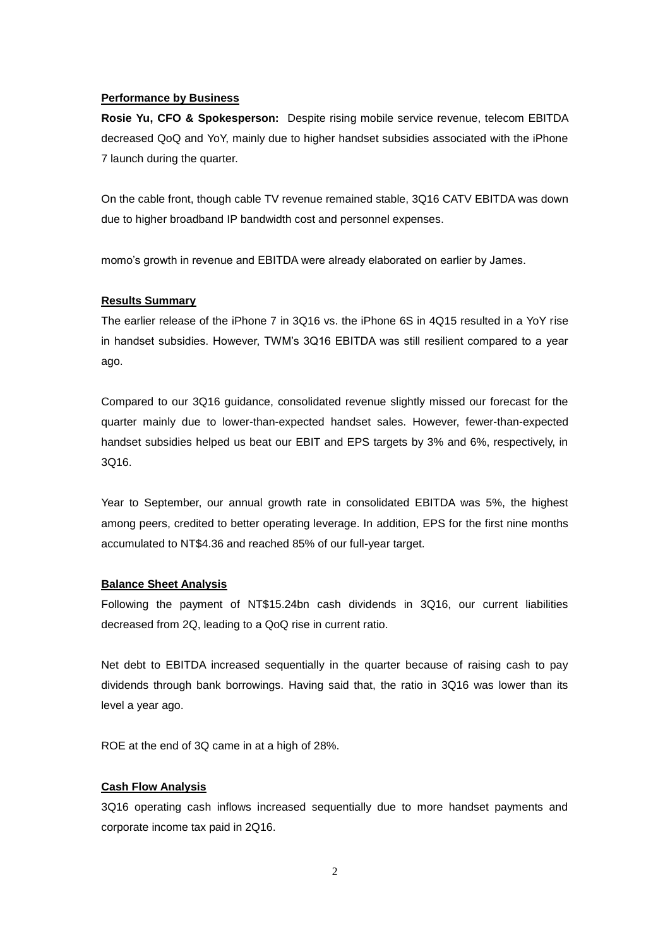## **Performance by Business**

**Rosie Yu, CFO & Spokesperson:** Despite rising mobile service revenue, telecom EBITDA decreased QoQ and YoY, mainly due to higher handset subsidies associated with the iPhone 7 launch during the quarter.

On the cable front, though cable TV revenue remained stable, 3Q16 CATV EBITDA was down due to higher broadband IP bandwidth cost and personnel expenses.

momo's growth in revenue and EBITDA were already elaborated on earlier by James.

## **Results Summary**

The earlier release of the iPhone 7 in 3Q16 vs. the iPhone 6S in 4Q15 resulted in a YoY rise in handset subsidies. However, TWM's 3Q16 EBITDA was still resilient compared to a year ago.

Compared to our 3Q16 guidance, consolidated revenue slightly missed our forecast for the quarter mainly due to lower-than-expected handset sales. However, fewer-than-expected handset subsidies helped us beat our EBIT and EPS targets by 3% and 6%, respectively, in 3Q16.

Year to September, our annual growth rate in consolidated EBITDA was 5%, the highest among peers, credited to better operating leverage. In addition, EPS for the first nine months accumulated to NT\$4.36 and reached 85% of our full-year target.

## **Balance Sheet Analysis**

Following the payment of NT\$15.24bn cash dividends in 3Q16, our current liabilities decreased from 2Q, leading to a QoQ rise in current ratio.

Net debt to EBITDA increased sequentially in the quarter because of raising cash to pay dividends through bank borrowings. Having said that, the ratio in 3Q16 was lower than its level a year ago.

ROE at the end of 3Q came in at a high of 28%.

#### **Cash Flow Analysis**

3Q16 operating cash inflows increased sequentially due to more handset payments and corporate income tax paid in 2Q16.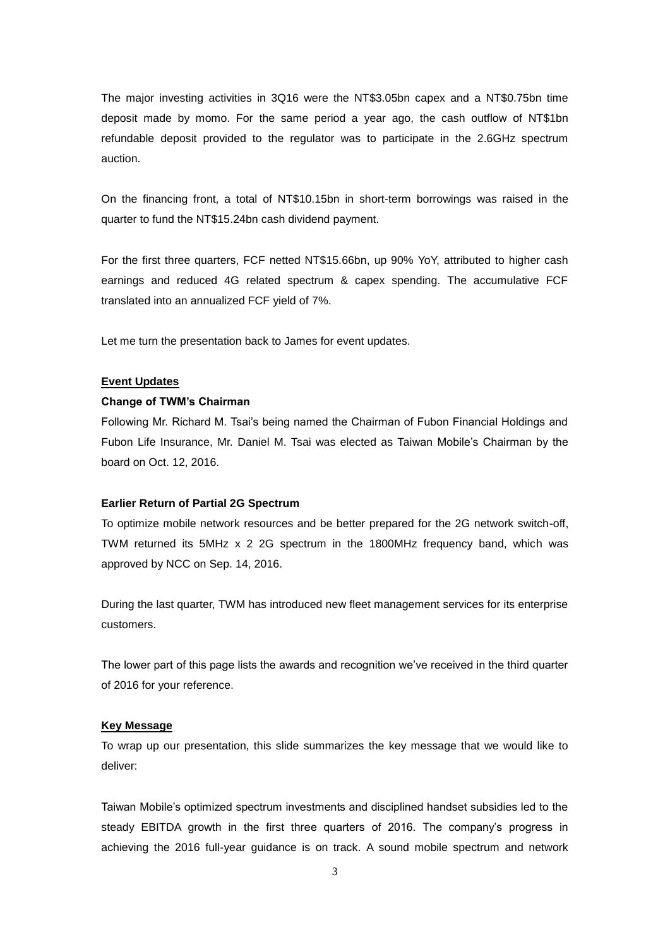The major investing activities in 3Q16 were the NT\$3.05bn capex and a NT\$0.75bn time deposit made by momo. For the same period a year ago, the cash outflow of NT\$1bn refundable deposit provided to the regulator was to participate in the 2.6GHz spectrum auction.

On the financing front, a total of NT\$10.15bn in short-term borrowings was raised in the quarter to fund the NT\$15.24bn cash dividend payment.

For the first three quarters, FCF netted NT\$15.66bn, up 90% YoY, attributed to higher cash earnings and reduced 4G related spectrum & capex spending. The accumulative FCF translated into an annualized FCF yield of 7%.

Let me turn the presentation back to James for event updates.

#### **Event Updates**

### **Change of TWM's Chairman**

Following Mr. Richard M. Tsai's being named the Chairman of Fubon Financial Holdings and Fubon Life Insurance, Mr. Daniel M. Tsai was elected as Taiwan Mobile's Chairman by the board on Oct. 12, 2016.

#### **Earlier Return of Partial 2G Spectrum**

To optimize mobile network resources and be better prepared for the 2G network switch-off, TWM returned its 5MHz x 2 2G spectrum in the 1800MHz frequency band, which was approved by NCC on Sep. 14, 2016.

During the last quarter, TWM has introduced new fleet management services for its enterprise customers.

The lower part of this page lists the awards and recognition we've received in the third quarter of 2016 for your reference.

#### **Key Message**

To wrap up our presentation, this slide summarizes the key message that we would like to deliver:

Taiwan Mobile's optimized spectrum investments and disciplined handset subsidies led to the steady EBITDA growth in the first three quarters of 2016. The company's progress in achieving the 2016 full-year guidance is on track. A sound mobile spectrum and network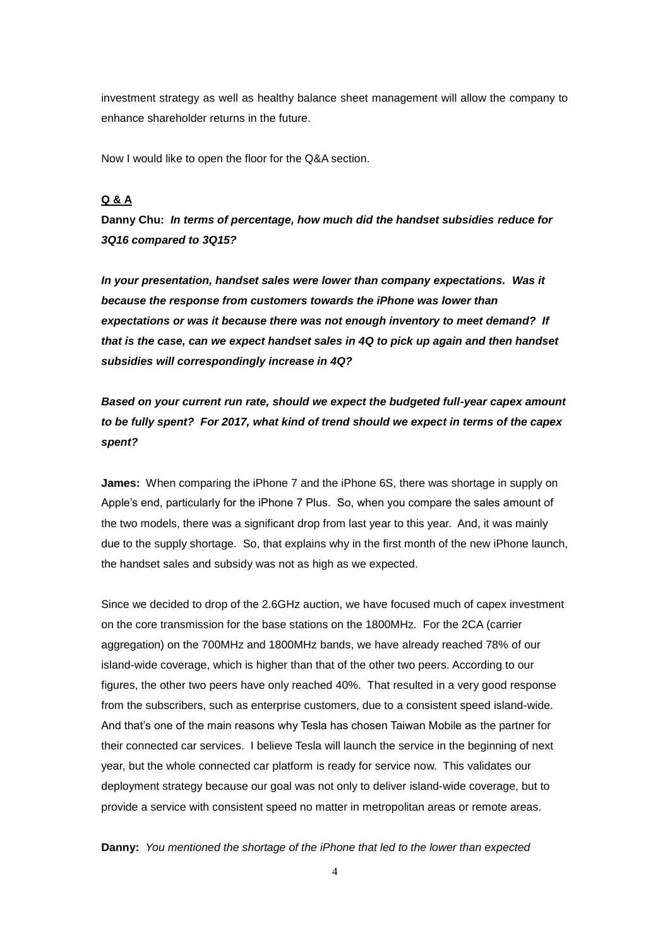investment strategy as well as healthy balance sheet management will allow the company to enhance shareholder returns in the future.

Now I would like to open the floor for the Q&A section.

## **Q & A**

**Danny Chu:** *In terms of percentage, how much did the handset subsidies reduce for 3Q16 compared to 3Q15?* 

*In your presentation, handset sales were lower than company expectations. Was it because the response from customers towards the iPhone was lower than expectations or was it because there was not enough inventory to meet demand? If that is the case, can we expect handset sales in 4Q to pick up again and then handset subsidies will correspondingly increase in 4Q?*

*Based on your current run rate, should we expect the budgeted full-year capex amount to be fully spent? For 2017, what kind of trend should we expect in terms of the capex spent?*

**James:** When comparing the iPhone 7 and the iPhone 6S, there was shortage in supply on Apple's end, particularly for the iPhone 7 Plus. So, when you compare the sales amount of the two models, there was a significant drop from last year to this year. And, it was mainly due to the supply shortage. So, that explains why in the first month of the new iPhone launch, the handset sales and subsidy was not as high as we expected.

Since we decided to drop of the 2.6GHz auction, we have focused much of capex investment on the core transmission for the base stations on the 1800MHz. For the 2CA (carrier aggregation) on the 700MHz and 1800MHz bands, we have already reached 78% of our island-wide coverage, which is higher than that of the other two peers. According to our figures, the other two peers have only reached 40%. That resulted in a very good response from the subscribers, such as enterprise customers, due to a consistent speed island-wide. And that's one of the main reasons why Tesla has chosen Taiwan Mobile as the partner for their connected car services. I believe Tesla will launch the service in the beginning of next year, but the whole connected car platform is ready for service now. This validates our deployment strategy because our goal was not only to deliver island-wide coverage, but to provide a service with consistent speed no matter in metropolitan areas or remote areas.

**Danny:** *You mentioned the shortage of the iPhone that led to the lower than expected*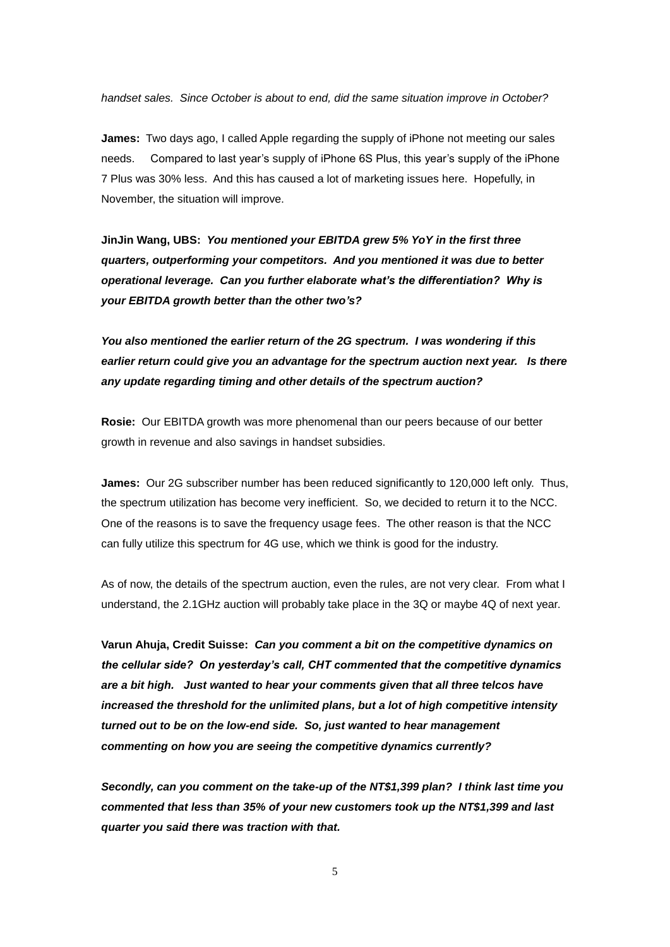*handset sales. Since October is about to end, did the same situation improve in October?*

**James:** Two days ago, I called Apple regarding the supply of iPhone not meeting our sales needs. Compared to last year's supply of iPhone 6S Plus, this year's supply of the iPhone 7 Plus was 30% less. And this has caused a lot of marketing issues here. Hopefully, in November, the situation will improve.

**JinJin Wang, UBS:** *You mentioned your EBITDA grew 5% YoY in the first three quarters, outperforming your competitors. And you mentioned it was due to better operational leverage. Can you further elaborate what's the differentiation? Why is your EBITDA growth better than the other two's?*

*You also mentioned the earlier return of the 2G spectrum. I was wondering if this earlier return could give you an advantage for the spectrum auction next year. Is there any update regarding timing and other details of the spectrum auction?*

**Rosie:** Our EBITDA growth was more phenomenal than our peers because of our better growth in revenue and also savings in handset subsidies.

**James:** Our 2G subscriber number has been reduced significantly to 120,000 left only. Thus, the spectrum utilization has become very inefficient. So, we decided to return it to the NCC. One of the reasons is to save the frequency usage fees. The other reason is that the NCC can fully utilize this spectrum for 4G use, which we think is good for the industry.

As of now, the details of the spectrum auction, even the rules, are not very clear. From what I understand, the 2.1GHz auction will probably take place in the 3Q or maybe 4Q of next year.

**Varun Ahuja, Credit Suisse:** *Can you comment a bit on the competitive dynamics on the cellular side? On yesterday's call, CHT commented that the competitive dynamics are a bit high. Just wanted to hear your comments given that all three telcos have increased the threshold for the unlimited plans, but a lot of high competitive intensity turned out to be on the low-end side. So, just wanted to hear management commenting on how you are seeing the competitive dynamics currently?*

*Secondly, can you comment on the take-up of the NT\$1,399 plan? I think last time you commented that less than 35% of your new customers took up the NT\$1,399 and last quarter you said there was traction with that.*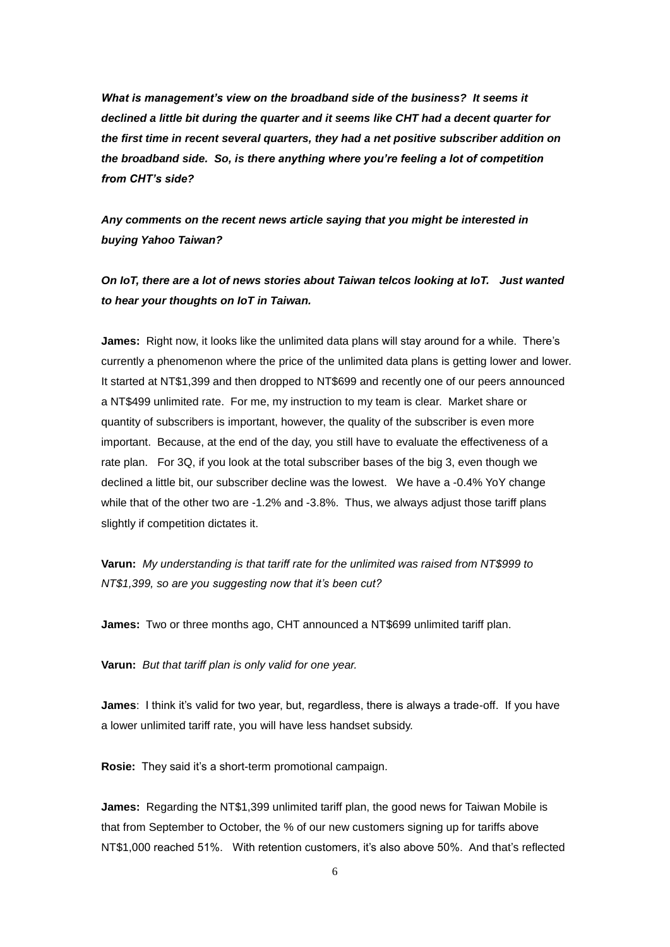*What is management's view on the broadband side of the business? It seems it declined a little bit during the quarter and it seems like CHT had a decent quarter for the first time in recent several quarters, they had a net positive subscriber addition on the broadband side. So, is there anything where you're feeling a lot of competition from CHT's side?*

*Any comments on the recent news article saying that you might be interested in buying Yahoo Taiwan?*

*On IoT, there are a lot of news stories about Taiwan telcos looking at IoT. Just wanted to hear your thoughts on IoT in Taiwan.*

**James:** Right now, it looks like the unlimited data plans will stay around for a while. There's currently a phenomenon where the price of the unlimited data plans is getting lower and lower. It started at NT\$1,399 and then dropped to NT\$699 and recently one of our peers announced a NT\$499 unlimited rate. For me, my instruction to my team is clear. Market share or quantity of subscribers is important, however, the quality of the subscriber is even more important. Because, at the end of the day, you still have to evaluate the effectiveness of a rate plan. For 3Q, if you look at the total subscriber bases of the big 3, even though we declined a little bit, our subscriber decline was the lowest. We have a -0.4% YoY change while that of the other two are -1.2% and -3.8%. Thus, we always adjust those tariff plans slightly if competition dictates it.

**Varun:** *My understanding is that tariff rate for the unlimited was raised from NT\$999 to NT\$1,399, so are you suggesting now that it's been cut?*

**James:** Two or three months ago, CHT announced a NT\$699 unlimited tariff plan.

**Varun:** *But that tariff plan is only valid for one year.*

**James**: I think it's valid for two year, but, regardless, there is always a trade-off. If you have a lower unlimited tariff rate, you will have less handset subsidy.

**Rosie:** They said it's a short-term promotional campaign.

**James:** Regarding the NT\$1,399 unlimited tariff plan, the good news for Taiwan Mobile is that from September to October, the % of our new customers signing up for tariffs above NT\$1,000 reached 51%. With retention customers, it's also above 50%. And that's reflected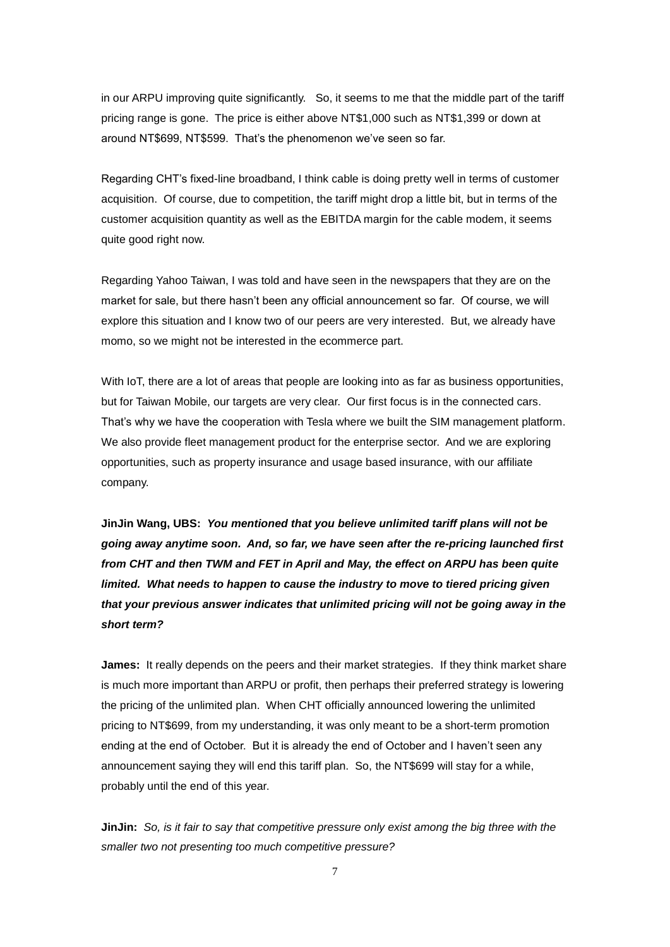in our ARPU improving quite significantly. So, it seems to me that the middle part of the tariff pricing range is gone. The price is either above NT\$1,000 such as NT\$1,399 or down at around NT\$699, NT\$599. That's the phenomenon we've seen so far.

Regarding CHT's fixed-line broadband, I think cable is doing pretty well in terms of customer acquisition. Of course, due to competition, the tariff might drop a little bit, but in terms of the customer acquisition quantity as well as the EBITDA margin for the cable modem, it seems quite good right now.

Regarding Yahoo Taiwan, I was told and have seen in the newspapers that they are on the market for sale, but there hasn't been any official announcement so far. Of course, we will explore this situation and I know two of our peers are very interested. But, we already have momo, so we might not be interested in the ecommerce part.

With IoT, there are a lot of areas that people are looking into as far as business opportunities, but for Taiwan Mobile, our targets are very clear. Our first focus is in the connected cars. That's why we have the cooperation with Tesla where we built the SIM management platform. We also provide fleet management product for the enterprise sector. And we are exploring opportunities, such as property insurance and usage based insurance, with our affiliate company.

**JinJin Wang, UBS:** *You mentioned that you believe unlimited tariff plans will not be going away anytime soon. And, so far, we have seen after the re-pricing launched first from CHT and then TWM and FET in April and May, the effect on ARPU has been quite limited. What needs to happen to cause the industry to move to tiered pricing given that your previous answer indicates that unlimited pricing will not be going away in the short term?*

**James:** It really depends on the peers and their market strategies. If they think market share is much more important than ARPU or profit, then perhaps their preferred strategy is lowering the pricing of the unlimited plan. When CHT officially announced lowering the unlimited pricing to NT\$699, from my understanding, it was only meant to be a short-term promotion ending at the end of October. But it is already the end of October and I haven't seen any announcement saying they will end this tariff plan. So, the NT\$699 will stay for a while, probably until the end of this year.

**JinJin:** *So, is it fair to say that competitive pressure only exist among the big three with the smaller two not presenting too much competitive pressure?*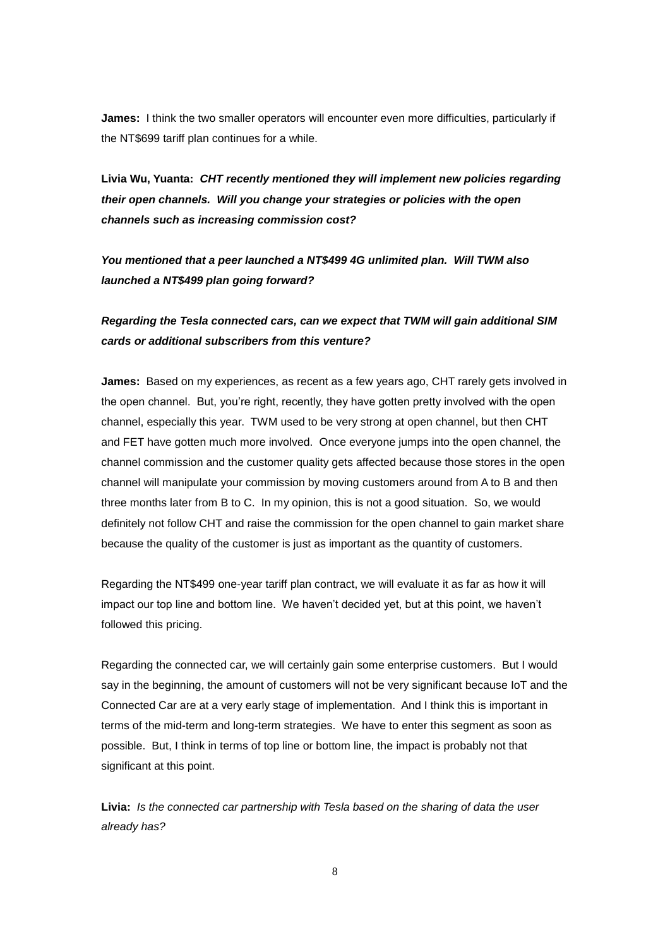**James:** I think the two smaller operators will encounter even more difficulties, particularly if the NT\$699 tariff plan continues for a while.

**Livia Wu, Yuanta:** *CHT recently mentioned they will implement new policies regarding their open channels. Will you change your strategies or policies with the open channels such as increasing commission cost?*

*You mentioned that a peer launched a NT\$499 4G unlimited plan. Will TWM also launched a NT\$499 plan going forward?*

## *Regarding the Tesla connected cars, can we expect that TWM will gain additional SIM cards or additional subscribers from this venture?*

**James:** Based on my experiences, as recent as a few years ago, CHT rarely gets involved in the open channel. But, you're right, recently, they have gotten pretty involved with the open channel, especially this year. TWM used to be very strong at open channel, but then CHT and FET have gotten much more involved. Once everyone jumps into the open channel, the channel commission and the customer quality gets affected because those stores in the open channel will manipulate your commission by moving customers around from A to B and then three months later from B to C. In my opinion, this is not a good situation. So, we would definitely not follow CHT and raise the commission for the open channel to gain market share because the quality of the customer is just as important as the quantity of customers.

Regarding the NT\$499 one-year tariff plan contract, we will evaluate it as far as how it will impact our top line and bottom line. We haven't decided yet, but at this point, we haven't followed this pricing.

Regarding the connected car, we will certainly gain some enterprise customers. But I would say in the beginning, the amount of customers will not be very significant because IoT and the Connected Car are at a very early stage of implementation. And I think this is important in terms of the mid-term and long-term strategies. We have to enter this segment as soon as possible. But, I think in terms of top line or bottom line, the impact is probably not that significant at this point.

**Livia:** *Is the connected car partnership with Tesla based on the sharing of data the user already has?*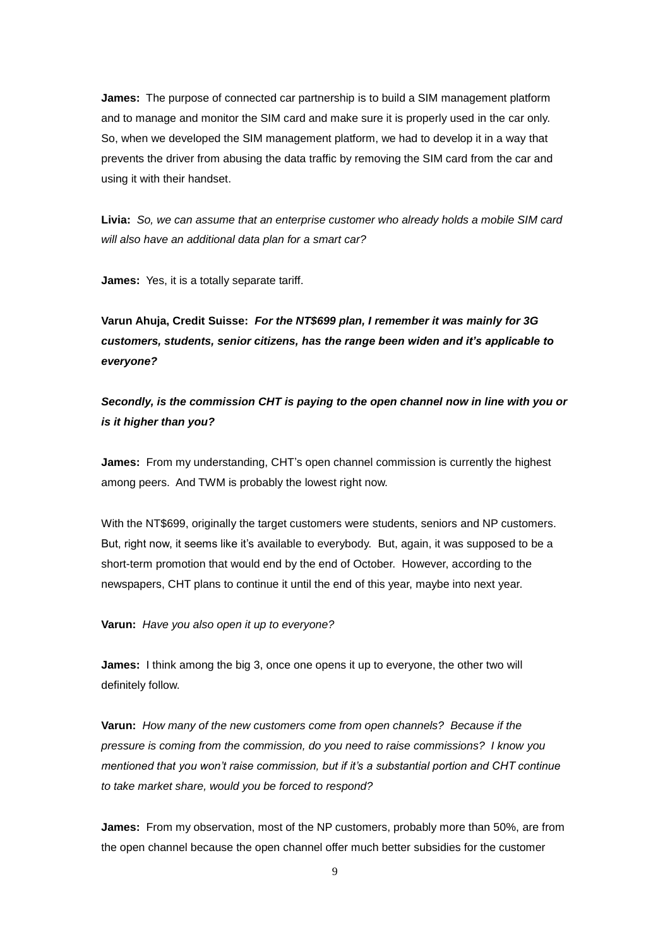**James:** The purpose of connected car partnership is to build a SIM management platform and to manage and monitor the SIM card and make sure it is properly used in the car only. So, when we developed the SIM management platform, we had to develop it in a way that prevents the driver from abusing the data traffic by removing the SIM card from the car and using it with their handset.

**Livia:** *So, we can assume that an enterprise customer who already holds a mobile SIM card will also have an additional data plan for a smart car?*

**James:** Yes, it is a totally separate tariff.

**Varun Ahuja, Credit Suisse:** *For the NT\$699 plan, I remember it was mainly for 3G customers, students, senior citizens, has the range been widen and it's applicable to everyone?*

*Secondly, is the commission CHT is paying to the open channel now in line with you or is it higher than you?*

**James:** From my understanding, CHT's open channel commission is currently the highest among peers. And TWM is probably the lowest right now.

With the NT\$699, originally the target customers were students, seniors and NP customers. But, right now, it seems like it's available to everybody. But, again, it was supposed to be a short-term promotion that would end by the end of October. However, according to the newspapers, CHT plans to continue it until the end of this year, maybe into next year.

**Varun:** *Have you also open it up to everyone?*

**James:** I think among the big 3, once one opens it up to everyone, the other two will definitely follow.

**Varun:** *How many of the new customers come from open channels? Because if the pressure is coming from the commission, do you need to raise commissions? I know you mentioned that you won't raise commission, but if it's a substantial portion and CHT continue to take market share, would you be forced to respond?*

**James:** From my observation, most of the NP customers, probably more than 50%, are from the open channel because the open channel offer much better subsidies for the customer